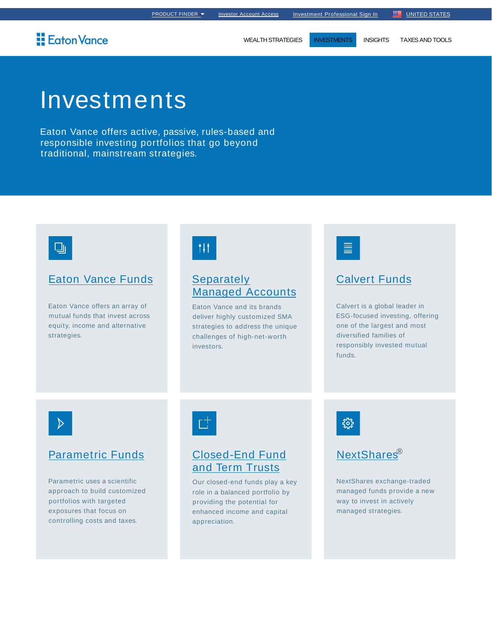## Eaton Vance

WEALTH STRATEGIES **INVESTMENTS** INSIGHTS TAXES AND TOOLS

# Investments

Eaton Vance offers active, passive, rules-based and responsible investing portfolios that go beyond traditional, mainstream strategies.



## Eaton Vance Funds

Eaton Vance offers an array of mutual funds that invest across equity, income and alternative strategies.



## **Separately** Managed Accounts

Eaton Vance and its brands deliver highly customized SMA strategies to address the unique challenges of high-net-worth investors.



### Calvert Funds

Calvert is a global leader in ESG-focused investing, offering one of the largest and most diversified families of responsibly invested mutual funds.



#### Parametric Funds

Parametric uses a scientific approach to build customized portfolios with targeted exposures that focus on controlling costs and taxes.



## Closed-End Fund and Term Trusts

Our closed-end funds play a key role in a balanced portfolio by providing the potential for enhanced income and capital appreciation.





NextShares exchange-traded managed funds provide a new way to invest in actively managed strategies.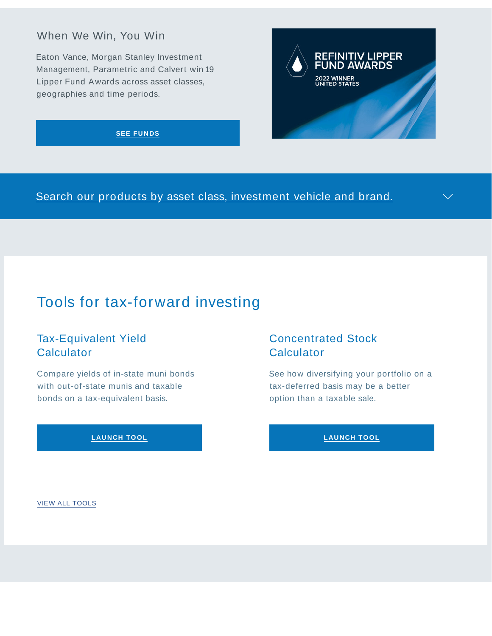## When We Win, You Win

Eaton Vance, Morgan Stanley Investment Management, Parametric and Calvert win 19 Lipper Fund Awards across asset classes, geographies and time periods.

#### **SEE FUNDS**

Search our products by asset class, investment vehicle and brand.

# Tools for tax-forward investing

## Tax-Equivalent Yield **Calculator**

Compare yields of in-state muni bonds with out-of-state munis and taxable bonds on a tax-equivalent basis.

#### **LAUNCH TO OL**

## Concentrated Stock **Calculator**

**REFINITIV L** 

**2022 WINNER**<br>UNITED STATES

**IPPER** 

See how diversifying your portfolio on a tax-deferred basis may be a better option than a taxable sale.

#### **LAUNCH TO OL**

VIEW ALL TOOLS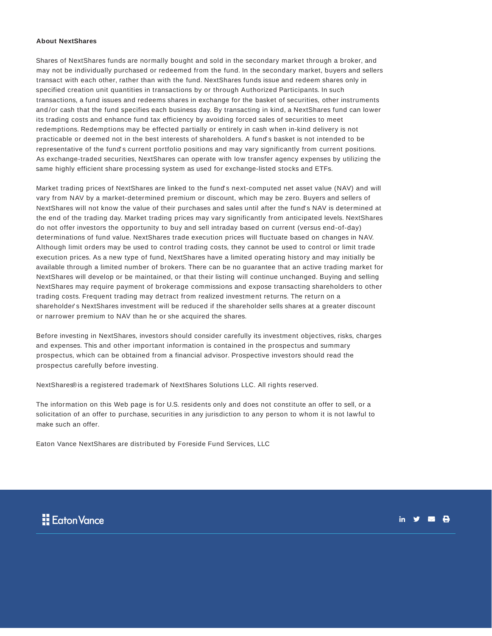#### **About NextShares**

Shares of NextShares funds are normally bought and sold in the secondary market through a broker, and may not be individually purchased or redeemed from the fund. In the secondary market, buyers and sellers transact with each other, rather than with the fund. NextShares funds issue and redeem shares only in specified creation unit quantities in transactions by or through Authorized Participants. In such transactions, a fund issues and redeems shares in exchange for the basket of securities, other instruments and /or cash that the fund specifies each business day. By transacting in kind, a NextShares fund can lower its trading costs and enhance fund tax efficiency by avoiding forced sales of securities to meet redemptions. Redemptions may be effected partially or entirely in cash when in-kind delivery is not practicable or deemed not in the best interests of shareholders. A fund' s basket is not intended to be representative of the fund's current portfolio positions and may vary significantly from current positions. As exchange-traded securities, NextShares can operate with low transfer agency expenses by utilizing the same highly efficient share processing system as used for exchange-listed stocks and ETFs.

Market trading prices of NextShares are linked to the fund' s next-computed net asset value (NAV) and will vary from NAV by a market-determined premium or discount, which may be zero. Buyers and sellers of NextShares will not know the value of their purchases and sales until after the fund's NAV is determined at the end of the trading day. Market trading prices may vary significantly from anticipated levels. NextShares do not offer investors the opportunity to buy and sell intraday based on current (versus end-of-day) determinations of fund value. NextShares trade execution prices will fluctuate based on changes in NAV. Although limit orders may be used to control trading costs, they cannot be used to control or limit trade execution prices. As a new type of fund, NextShares have a limited operating history and may initially be available through a limited number of brokers. There can be no guarantee that an active trading market for NextShares will develop or be maintained, or that their listing will continue unchanged. Buying and selling NextShares may require payment of brokerage commissions and expose transacting shareholders to other trading costs. Frequent trading may detract from realized investment returns. The return on a shareholder' s NextShares investment will be reduced if the shareholder sells shares at a greater discount or narrower premium to NAV than he or she acquired the shares.

Before investing in NextShares, investors should consider carefully its investment objectives, risks, charges and expenses. This and other important information is contained in the prospectus and summary prospectus, which can be obtained from a financial advisor. Prospective investors should read the prospectus carefully before investing.

NextShares® is a registered trademark of NextShares Solutions LLC. All rights reserved.

The information on this Web page is for U.S. residents only and does not constitute an offer to sell, or a solicitation of an offer to purchase, securities in any jurisdiction to any person to whom it is not lawful to make such an offer.

Eaton Vance NextShares are distributed by Foreside Fund Services, LLC